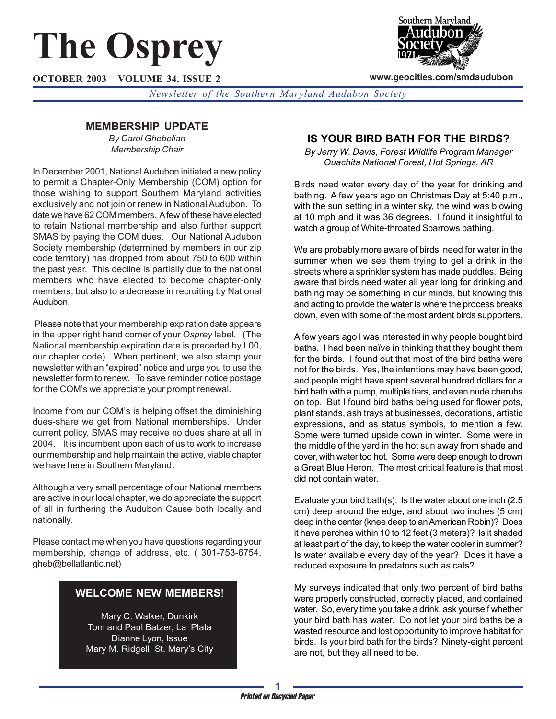# **The Osprey**

**OCTOBER 2003 VOLUME 34, ISSUE 2**



**www.geocities.com/smdaudubon**

*Newsletter of the Southern Maryland Audubon Society*

# **MEMBERSHIP UPDATE**

*By Carol Ghebelian Membership Chair*

In December 2001, National Audubon initiated a new policy to permit a Chapter-Only Membership (COM) option for those wishing to support Southern Maryland activities exclusively and not join or renew in National Audubon. To date we have 62 COM members. A few of these have elected to retain National membership and also further support SMAS by paying the COM dues. Our National Audubon Society membership (determined by members in our zip code territory) has dropped from about 750 to 600 within the past year. This decline is partially due to the national members who have elected to become chapter-only members, but also to a decrease in recruiting by National Audubon.

 Please note that your membership expiration date appears in the upper right hand corner of your *Osprey* label. (The National membership expiration date is preceded by L00, our chapter code) When pertinent, we also stamp your newsletter with an "expired" notice and urge you to use the newsletter form to renew. To save reminder notice postage for the COM's we appreciate your prompt renewal.

Income from our COM's is helping offset the diminishing dues-share we get from National memberships. Under current policy, SMAS may receive no dues share at all in 2004. It is incumbent upon each of us to work to increase our membership and help maintain the active, viable chapter we have here in Southern Maryland.

Although a very small percentage of our National members are active in our local chapter, we do appreciate the support of all in furthering the Audubon Cause both locally and nationally.

Please contact me when you have questions regarding your membership, change of address, etc. ( 301-753-6754, gheb@bellatlantic.net)

## **WELCOME NEW MEMBERS**!

Mary C. Walker, Dunkirk Tom and Paul Batzer, La Plata Dianne Lyon, Issue Mary M. Ridgell, St. Mary's City

## **IS YOUR BIRD BATH FOR THE BIRDS?**

*By Jerry W. Davis, Forest Wildlife Program Manager Ouachita National Forest, Hot Springs, AR*

Birds need water every day of the year for drinking and bathing. A few years ago on Christmas Day at 5:40 p.m., with the sun setting in a winter sky, the wind was blowing at 10 mph and it was 36 degrees. I found it insightful to watch a group of White-throated Sparrows bathing.

We are probably more aware of birds' need for water in the summer when we see them trying to get a drink in the streets where a sprinkler system has made puddles. Being aware that birds need water all year long for drinking and bathing may be something in our minds, but knowing this and acting to provide the water is where the process breaks down, even with some of the most ardent birds supporters.

A few years ago I was interested in why people bought bird baths. I had been naïve in thinking that they bought them for the birds. I found out that most of the bird baths were not for the birds. Yes, the intentions may have been good, and people might have spent several hundred dollars for a bird bath with a pump, multiple tiers, and even nude cherubs on top. But I found bird baths being used for flower pots, plant stands, ash trays at businesses, decorations, artistic expressions, and as status symbols, to mention a few. Some were turned upside down in winter. Some were in the middle of the yard in the hot sun away from shade and cover, with water too hot. Some were deep enough to drown a Great Blue Heron. The most critical feature is that most did not contain water.

Evaluate your bird bath(s). Is the water about one inch (2.5 cm) deep around the edge, and about two inches (5 cm) deep in the center (knee deep to an American Robin)? Does it have perches within 10 to 12 feet (3 meters)? Is it shaded at least part of the day, to keep the water cooler in summer? Is water available every day of the year? Does it have a reduced exposure to predators such as cats?

My surveys indicated that only two percent of bird baths were properly constructed, correctly placed, and contained water. So, every time you take a drink, ask yourself whether your bird bath has water. Do not let your bird baths be a wasted resource and lost opportunity to improve habitat for birds. Is your bird bath for the birds? Ninety-eight percent are not, but they all need to be.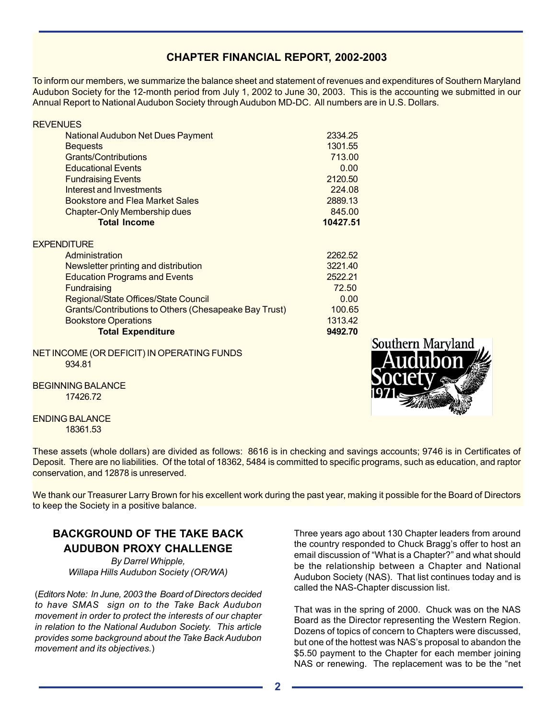# **CHAPTER FINANCIAL REPORT, 2002-2003**

To inform our members, we summarize the balance sheet and statement of revenues and expenditures of Southern Maryland Audubon Society for the 12-month period from July 1, 2002 to June 30, 2003. This is the accounting we submitted in our Annual Report to National Audubon Society through Audubon MD-DC. All numbers are in U.S. Dollars.

| <b>National Audubon Net Dues Payment</b><br><b>Bequests</b><br>Grants/Contributions<br><b>Educational Events</b><br><b>Fundraising Events</b><br>Interest and Investments<br>Bookstore and Flea Market Sales<br><b>Chapter-Only Membership dues</b><br><b>Total Income</b><br><b>EXPENDITURE</b><br>Administration<br>Newsletter printing and distribution<br><b>Education Programs and Events</b><br><b>Fundraising</b><br>Regional/State Offices/State Council<br><b>Grants/Contributions to Others (Chesapeake Bay Trust)</b><br><b>Bookstore Operations</b> | <b>REVENUES</b>          |          |
|-----------------------------------------------------------------------------------------------------------------------------------------------------------------------------------------------------------------------------------------------------------------------------------------------------------------------------------------------------------------------------------------------------------------------------------------------------------------------------------------------------------------------------------------------------------------|--------------------------|----------|
|                                                                                                                                                                                                                                                                                                                                                                                                                                                                                                                                                                 |                          | 2334.25  |
|                                                                                                                                                                                                                                                                                                                                                                                                                                                                                                                                                                 |                          | 1301.55  |
|                                                                                                                                                                                                                                                                                                                                                                                                                                                                                                                                                                 |                          | 713.00   |
|                                                                                                                                                                                                                                                                                                                                                                                                                                                                                                                                                                 |                          | 0.00     |
|                                                                                                                                                                                                                                                                                                                                                                                                                                                                                                                                                                 |                          | 2120.50  |
|                                                                                                                                                                                                                                                                                                                                                                                                                                                                                                                                                                 |                          | 224.08   |
|                                                                                                                                                                                                                                                                                                                                                                                                                                                                                                                                                                 |                          | 2889.13  |
|                                                                                                                                                                                                                                                                                                                                                                                                                                                                                                                                                                 |                          | 845.00   |
|                                                                                                                                                                                                                                                                                                                                                                                                                                                                                                                                                                 |                          | 10427.51 |
|                                                                                                                                                                                                                                                                                                                                                                                                                                                                                                                                                                 |                          |          |
|                                                                                                                                                                                                                                                                                                                                                                                                                                                                                                                                                                 |                          | 2262.52  |
|                                                                                                                                                                                                                                                                                                                                                                                                                                                                                                                                                                 |                          | 3221.40  |
|                                                                                                                                                                                                                                                                                                                                                                                                                                                                                                                                                                 |                          | 2522.21  |
|                                                                                                                                                                                                                                                                                                                                                                                                                                                                                                                                                                 |                          | 72.50    |
|                                                                                                                                                                                                                                                                                                                                                                                                                                                                                                                                                                 |                          | 0.00     |
|                                                                                                                                                                                                                                                                                                                                                                                                                                                                                                                                                                 |                          | 100.65   |
|                                                                                                                                                                                                                                                                                                                                                                                                                                                                                                                                                                 |                          | 1313.42  |
|                                                                                                                                                                                                                                                                                                                                                                                                                                                                                                                                                                 | <b>Total Expenditure</b> | 9492.70  |

## NET INCOME (OR DEFICIT) IN OPERATING FUNDS 934.81

BEGINNING BALANCE 17426.72

**Southern Maryland** 

ENDING BALANCE 18361.53

These assets (whole dollars) are divided as follows: 8616 is in checking and savings accounts; 9746 is in Certificates of Deposit. There are no liabilities. Of the total of 18362, 5484 is committed to specific programs, such as education, and raptor conservation, and 12878 is unreserved.

We thank our Treasurer Larry Brown for his excellent work during the past year, making it possible for the Board of Directors to keep the Society in a positive balance.

# **BACKGROUND OF THE TAKE BACK AUDUBON PROXY CHALLENGE**

*By Darrel Whipple, Willapa Hills Audubon Society (OR/WA)*

(*Editors Note: In June, 2003 the Board of Directors decided to have SMAS sign on to the Take Back Audubon movement in order to protect the interests of our chapter in relation to the National Audubon Society. This article provides some background about the Take Back Audubon movement and its objectives.*)

Three years ago about 130 Chapter leaders from around the country responded to Chuck Bragg's offer to host an email discussion of "What is a Chapter?" and what should be the relationship between a Chapter and National Audubon Society (NAS). That list continues today and is called the NAS-Chapter discussion list.

That was in the spring of 2000. Chuck was on the NAS Board as the Director representing the Western Region. Dozens of topics of concern to Chapters were discussed, but one of the hottest was NAS's proposal to abandon the \$5.50 payment to the Chapter for each member joining NAS or renewing. The replacement was to be the "net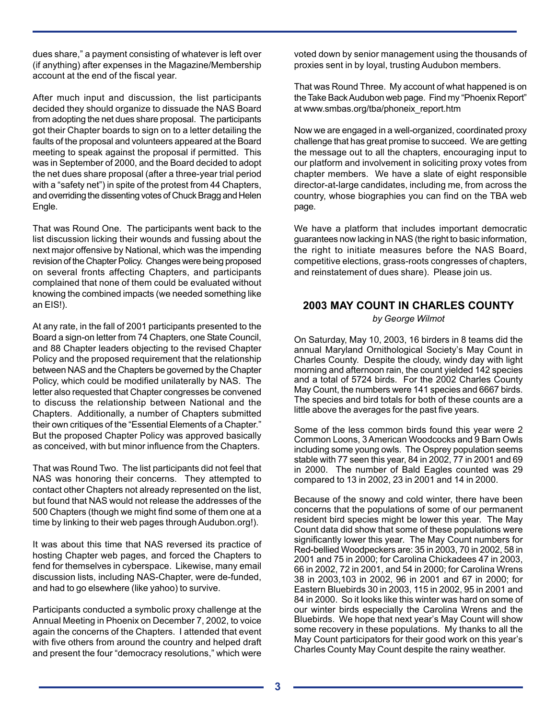dues share," a payment consisting of whatever is left over (if anything) after expenses in the Magazine/Membership account at the end of the fiscal year.

After much input and discussion, the list participants decided they should organize to dissuade the NAS Board from adopting the net dues share proposal. The participants got their Chapter boards to sign on to a letter detailing the faults of the proposal and volunteers appeared at the Board meeting to speak against the proposal if permitted. This was in September of 2000, and the Board decided to adopt the net dues share proposal (after a three-year trial period with a "safety net") in spite of the protest from 44 Chapters, and overriding the dissenting votes of Chuck Bragg and Helen Engle.

That was Round One. The participants went back to the list discussion licking their wounds and fussing about the next major offensive by National, which was the impending revision of the Chapter Policy. Changes were being proposed on several fronts affecting Chapters, and participants complained that none of them could be evaluated without knowing the combined impacts (we needed something like an EIS!).

At any rate, in the fall of 2001 participants presented to the Board a sign-on letter from 74 Chapters, one State Council, and 88 Chapter leaders objecting to the revised Chapter Policy and the proposed requirement that the relationship between NAS and the Chapters be governed by the Chapter Policy, which could be modified unilaterally by NAS. The letter also requested that Chapter congresses be convened to discuss the relationship between National and the Chapters. Additionally, a number of Chapters submitted their own critiques of the "Essential Elements of a Chapter." But the proposed Chapter Policy was approved basically as conceived, with but minor influence from the Chapters.

That was Round Two. The list participants did not feel that NAS was honoring their concerns. They attempted to contact other Chapters not already represented on the list, but found that NAS would not release the addresses of the 500 Chapters (though we might find some of them one at a time by linking to their web pages through Audubon.org!).

It was about this time that NAS reversed its practice of hosting Chapter web pages, and forced the Chapters to fend for themselves in cyberspace. Likewise, many email discussion lists, including NAS-Chapter, were de-funded, and had to go elsewhere (like yahoo) to survive.

Participants conducted a symbolic proxy challenge at the Annual Meeting in Phoenix on December 7, 2002, to voice again the concerns of the Chapters. I attended that event with five others from around the country and helped draft and present the four "democracy resolutions," which were

voted down by senior management using the thousands of proxies sent in by loyal, trusting Audubon members.

That was Round Three. My account of what happened is on the Take Back Audubon web page. Find my "Phoenix Report" at www.smbas.org/tba/phoneix\_report.htm

Now we are engaged in a well-organized, coordinated proxy challenge that has great promise to succeed. We are getting the message out to all the chapters, encouraging input to our platform and involvement in soliciting proxy votes from chapter members. We have a slate of eight responsible director-at-large candidates, including me, from across the country, whose biographies you can find on the TBA web page.

We have a platform that includes important democratic guarantees now lacking in NAS (the right to basic information, the right to initiate measures before the NAS Board, competitive elections, grass-roots congresses of chapters, and reinstatement of dues share). Please join us.

# **2003 MAY COUNT IN CHARLES COUNTY**

*by George Wilmot*

On Saturday, May 10, 2003, 16 birders in 8 teams did the annual Maryland Ornithological Society's May Count in Charles County. Despite the cloudy, windy day with light morning and afternoon rain, the count yielded 142 species and a total of 5724 birds. For the 2002 Charles County May Count, the numbers were 141 species and 6667 birds. The species and bird totals for both of these counts are a little above the averages for the past five years.

Some of the less common birds found this year were 2 Common Loons, 3 American Woodcocks and 9 Barn Owls including some young owls. The Osprey population seems stable with 77 seen this year, 84 in 2002, 77 in 2001 and 69 in 2000. The number of Bald Eagles counted was 29 compared to 13 in 2002, 23 in 2001 and 14 in 2000.

Because of the snowy and cold winter, there have been concerns that the populations of some of our permanent resident bird species might be lower this year. The May Count data did show that some of these populations were significantly lower this year. The May Count numbers for Red-bellied Woodpeckers are: 35 in 2003, 70 in 2002, 58 in 2001 and 75 in 2000; for Carolina Chickadees 47 in 2003, 66 in 2002, 72 in 2001, and 54 in 2000; for Carolina Wrens 38 in 2003,103 in 2002, 96 in 2001 and 67 in 2000; for Eastern Bluebirds 30 in 2003, 115 in 2002, 95 in 2001 and 84 in 2000. So it looks like this winter was hard on some of our winter birds especially the Carolina Wrens and the Bluebirds. We hope that next year's May Count will show some recovery in these populations. My thanks to all the May Count participators for their good work on this year's Charles County May Count despite the rainy weather.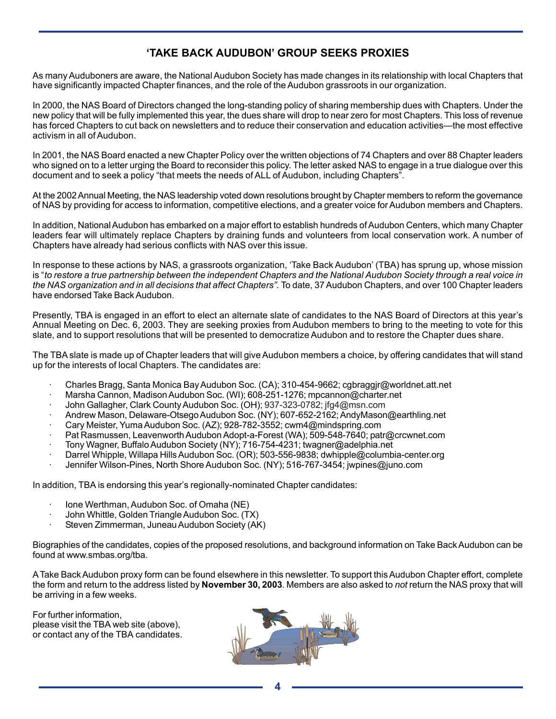# **'TAKE BACK AUDUBON' GROUP SEEKS PROXIES**

As many Auduboners are aware, the National Audubon Society has made changes in its relationship with local Chapters that have significantly impacted Chapter finances, and the role of the Audubon grassroots in our organization.

In 2000, the NAS Board of Directors changed the long-standing policy of sharing membership dues with Chapters. Under the new policy that will be fully implemented this year, the dues share will drop to near zero for most Chapters. This loss of revenue has forced Chapters to cut back on newsletters and to reduce their conservation and education activities—the most effective activism in all of Audubon.

In 2001, the NAS Board enacted a new Chapter Policy over the written objections of 74 Chapters and over 88 Chapter leaders who signed on to a letter urging the Board to reconsider this policy. The letter asked NAS to engage in a true dialogue over this document and to seek a policy "that meets the needs of ALL of Audubon, including Chapters".

At the 2002 Annual Meeting, the NAS leadership voted down resolutions brought by Chapter members to reform the governance of NAS by providing for access to information, competitive elections, and a greater voice for Audubon members and Chapters.

In addition, National Audubon has embarked on a major effort to establish hundreds of Audubon Centers, which many Chapter leaders fear will ultimately replace Chapters by draining funds and volunteers from local conservation work. A number of Chapters have already had serious conflicts with NAS over this issue.

In response to these actions by NAS, a grassroots organization, 'Take Back Audubon' (TBA) has sprung up, whose mission is "*to restore a true partnership between the independent Chapters and the National Audubon Society through a real voice in the NAS organization and in all decisions that affect Chapters".* To date, 37 Audubon Chapters, and over 100 Chapter leaders have endorsed Take Back Audubon.

Presently, TBA is engaged in an effort to elect an alternate slate of candidates to the NAS Board of Directors at this year's Annual Meeting on Dec. 6, 2003. They are seeking proxies from Audubon members to bring to the meeting to vote for this slate, and to support resolutions that will be presented to democratize Audubon and to restore the Chapter dues share.

The TBA slate is made up of Chapter leaders that will give Audubon members a choice, by offering candidates that will stand up for the interests of local Chapters. The candidates are:

- · Charles Bragg, Santa Monica Bay Audubon Soc. (CA); 310-454-9662; cgbraggjr@worldnet.att.net
- · Marsha Cannon, Madison Audubon Soc. (WI); 608-251-1276; mpcannon@charter.net
- · John Gallagher, Clark County Audubon Soc. (OH); 937-323-0782; jfg4@msn.com
- · Andrew Mason, Delaware-Otsego Audubon Soc. (NY); 607-652-2162; AndyMason@earthling.net
- · Cary Meister, Yuma Audubon Soc. (AZ); 928-782-3552; cwm4@mindspring.com
- Pat Rasmussen, Leavenworth Audubon Adopt-a-Forest (WA); 509-548-7640; patr@crcwnet.com
- · Tony Wagner, Buffalo Audubon Society (NY); 716-754-4231; twagner@adelphia.net
- · Darrel Whipple, Willapa Hills Audubon Soc. (OR); 503-556-9838; dwhipple@columbia-center.org
- · Jennifer Wilson-Pines, North Shore Audubon Soc. (NY); 516-767-3454; jwpines@juno.com

In addition, TBA is endorsing this year's regionally-nominated Chapter candidates:

- · Ione Werthman, Audubon Soc. of Omaha (NE)
- · John Whittle, Golden Triangle Audubon Soc. (TX)
- Steven Zimmerman, Juneau Audubon Society (AK)

Biographies of the candidates, copies of the proposed resolutions, and background information on Take Back Audubon can be found at www.smbas.org/tba.

A Take Back Audubon proxy form can be found elsewhere in this newsletter. To support this Audubon Chapter effort, complete the form and return to the address listed by **November 30, 2003**. Members are also asked to *not* return the NAS proxy that will be arriving in a few weeks.

For further information, please visit the TBA web site (above), or contact any of the TBA candidates.

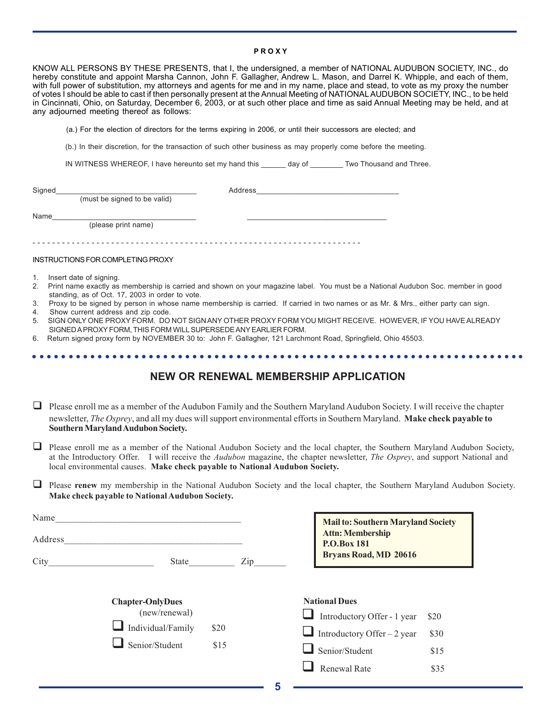#### **P R O X Y**

KNOW ALL PERSONS BY THESE PRESENTS, that I, the undersigned, a member of NATIONAL AUDUBON SOCIETY, INC., do hereby constitute and appoint Marsha Cannon, John F. Gallagher, Andrew L. Mason, and Darrel K. Whipple, and each of them, with full power of substitution, my attorneys and agents for me and in my name, place and stead, to vote as my proxy the number of votes I should be able to cast if then personally present at the Annual Meeting of NATIONAL AUDUBON SOCIETY, INC., to be held in Cincinnati, Ohio, on Saturday, December 6, 2003, or at such other place and time as said Annual Meeting may be held, and at any adjourned meeting thereof as follows:

(a.) For the election of directors for the terms expiring in 2006, or until their successors are elected; and

(b.) In their discretion, for the transaction of such other business as may properly come before the meeting.

IN WITNESS WHEREOF, I have hereunto set my hand this \_\_\_\_\_\_ day of \_\_\_\_\_\_\_\_ Two Thousand and Three.

| Signed |                              | Address |
|--------|------------------------------|---------|
|        | (must be signed to be valid) |         |
| Name   |                              |         |
|        | (please print name)          |         |
|        |                              |         |
|        |                              |         |

#### INSTRUCTIONS FOR COMPLETING PROXY

- 1. Insert date of signing.
- 2. Print name exactly as membership is carried and shown on your magazine label. You must be a National Audubon Soc. member in good standing, as of Oct. 17, 2003 in order to vote.
- 3. Proxy to be signed by person in whose name membership is carried. If carried in two names or as Mr. & Mrs., either party can sign.
- 4. Show current address and zip code.
- 5. SIGN ONLY ONE PROXY FORM. DO NOT SIGN ANY OTHER PROXY FORM YOU MIGHT RECEIVE. HOWEVER, IF YOU HAVE ALREADY SIGNED A PROXY FORM, THIS FORM WILL SUPERSEDE ANY EARLIER FORM.

○○○○○○○○○○○○○○○○○○○○○○○○○○○○○○○○○○○○○○○○○○○○○ ○○○○○○○○○○○○○○○○○○○○○○○

6. Return signed proxy form by NOVEMBER 30 to: John F. Gallagher, 121 Larchmont Road, Springfield, Ohio 45503.

## **NEW OR RENEWAL MEMBERSHIP APPLICATION**

- $\Box$  Please enroll me as a member of the Audubon Family and the Southern Maryland Audubon Society. I will receive the chapter newsletter, *The Osprey*, and all my dues will support environmental efforts in Southern Maryland. **Make check payable to Southern Maryland Audubon Society.**
- $\Box$  Please enroll me as a member of the National Audubon Society and the local chapter, the Southern Maryland Audubon Society, at the Introductory Offer.I will receive the *Audubon* magazine, the chapter newsletter, *The Osprey*, and support National and local environmental causes. **Make check payable to National Audubon Society.**
- Please **renew** my membership in the National Audubon Society and the local chapter, the Southern Maryland Audubon Society. **Make check payable to National Audubon Society.**

| Name<br>Address<br>City | State                                                                           |              | Zip | <b>Mail to: Southern Maryland Society</b><br><b>Attn: Membership</b><br><b>P.O.Box 181</b><br><b>Bryans Road, MD 20616</b>   |
|-------------------------|---------------------------------------------------------------------------------|--------------|-----|------------------------------------------------------------------------------------------------------------------------------|
|                         | <b>Chapter-OnlyDues</b><br>(new/renewal)<br>Individual/Family<br>Senior/Student | \$20<br>\$15 |     | <b>National Dues</b><br>Introductory Offer - 1 year<br>\$20<br>Introductory Offer – 2 year<br>\$30<br>Senior/Student<br>\$15 |
|                         |                                                                                 |              |     | <b>Renewal Rate</b><br>\$35                                                                                                  |